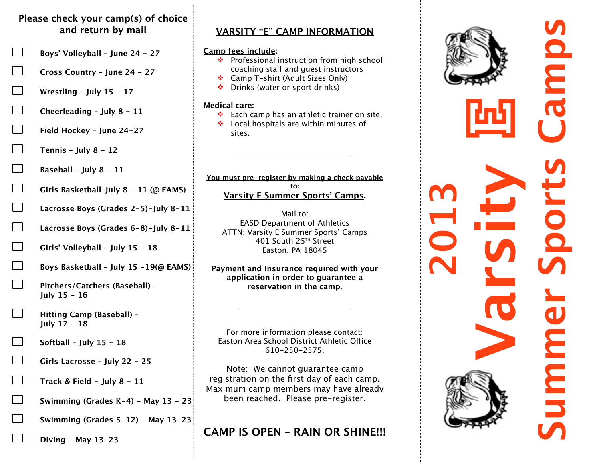# **Please check your camp(s) of choice and return by mail**

- **Boys' Volleyball June 24 27**
- **Cross Country June 24 27**
- **Wrestling July 15 17**
- **Cheerleading July 8 11**
- **Field Hockey June 24-27**
- **Tennis July 8 12**
- **Baseball July 8 11**
- **Girls Basketball–July 8 11 (@ EAMS)**
- **Lacrosse Boys (Grades 2-5)-July 8-11**
- **Lacrosse Boys (Grades 6-8)-July 8-11**
- **Girls' Volleyball July 15 18**
- **Boys Basketball July 15 -19(@ EAMS)**
- **Pitchers/Catchers (Baseball) July 15 - 16**
- **Hitting Camp (Baseball) July 17 - 18**
- **Softball July 15 18**
- **Girls Lacrosse July 22 25**
- **Track & Field July 8 11**
- **Swimming (Grades K-4) May 13 23**
	- **Swimming (Grades 5-12) May 13-23**

**Diving - May 13-23**

# **VARSITY "E" CAMP INFORMATION**

## **Camp fees include:**

- ❖ Professional instruction from high school coaching staff and guest instructors
- ❖ Camp T-shirt (Adult Sizes Only)
- ❖ Drinks (water or sport drinks)

## **Medical care:**

- $\cdot \cdot$  Each camp has an athletic trainer on site.
- ◆ Local hospitals are within minutes of sites.

**You must pre-register by making a check payable to: Varsity E Summer Sports' Camps.**

Mail to: EASD Department of Athletics ATTN: Varsity E Summer Sports' Camps 401 South 25th Street Easton, PA 18045

**Payment and Insurance required with your application in order to guarantee a reservation in the camp.**

For more information please contact: Easton Area School District Athletic Office 610-250-2575.

Note: We cannot guarantee camp registration on the first day of each camp. Maximum camp members may have already been reached. Please pre-register.

# **CAMP IS OPEN – RAIN OR SHINE!!!**